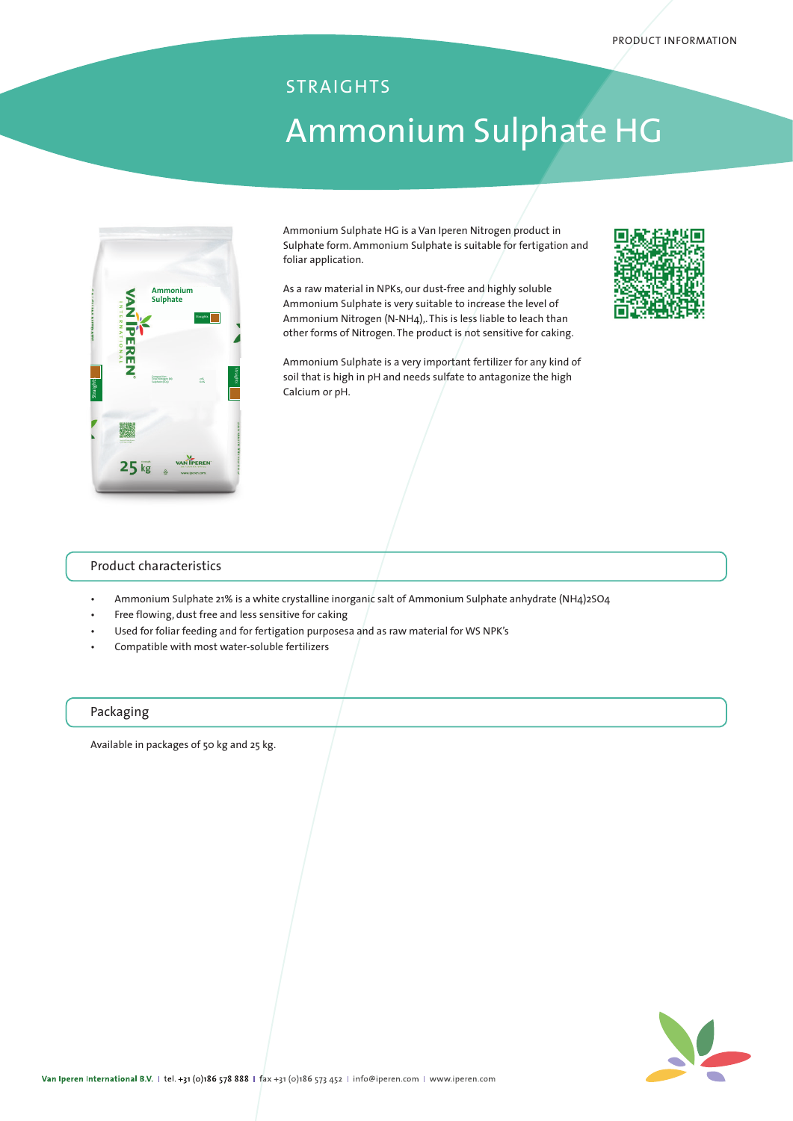# Ammonium Sulphate HG STRAIGHTS



Ammonium Sulphate HG is a Van Iperen Nitrogen product in Sulphate form. Ammonium Sulphate is suitable for fertigation and foliar application.

As a raw material in NPKs, our dust-free and highly soluble Ammonium Sulphate is very suitable to increase the level of Ammonium Nitrogen (N-NH4),. This is less liable to leach than other forms of Nitrogen. The product is not sensitive for caking.

Ammonium Sulphate is a very important fertilizer for any kind of soil that is high in pH and needs sulfate to antagonize the high Calcium or pH.



### Product characteristics

- Ammonium Sulphate 21% is a white crystalline inorganic salt of Ammonium Sulphate anhydrate (NH4)2SO4
- Free flowing, dust free and less sensitive for caking
- Used for foliar feeding and for fertigation purposesa and as raw material for WS NPK's
- Compatible with most water-soluble fertilizers

#### Packaging

Available in packages of 50 kg and 25 kg.